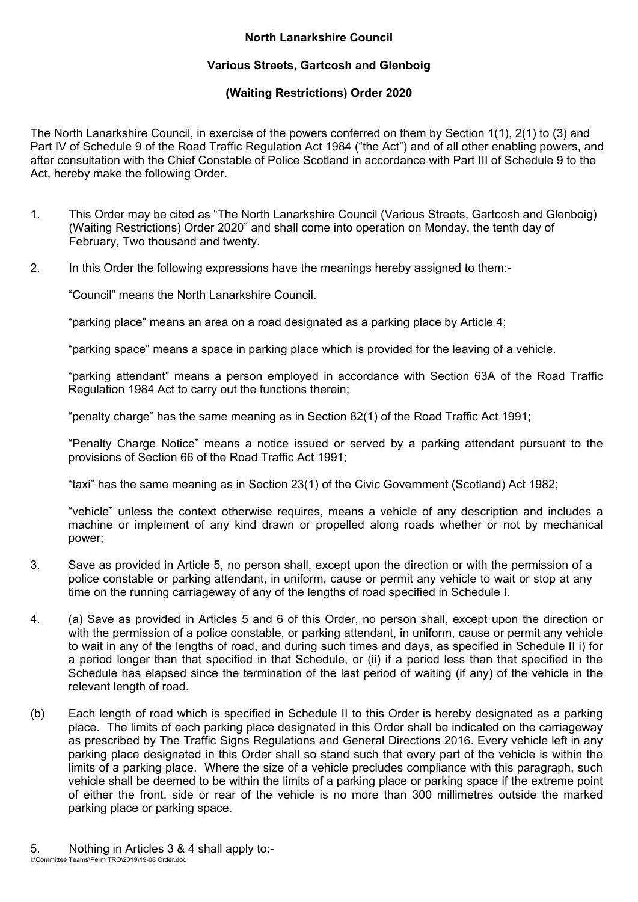## **North Lanarkshire Council**

## **Various Streets, Gartcosh and Glenboig**

## **(Waiting Restrictions) Order 2020**

The North Lanarkshire Council, in exercise of the powers conferred on them by Section 1(1), 2(1) to (3) and Part IV of Schedule 9 of the Road Traffic Regulation Act 1984 ("the Act") and of all other enabling powers, and after consultation with the Chief Constable of Police Scotland in accordance with Part III of Schedule 9 to the Act, hereby make the following Order.

- 1. This Order may be cited as "The North Lanarkshire Council (Various Streets, Gartcosh and Glenboig) (Waiting Restrictions) Order 2020" and shall come into operation on Monday, the tenth day of February, Two thousand and twenty.
- 2. In this Order the following expressions have the meanings hereby assigned to them:-

"Council" means the North Lanarkshire Council.

"parking place" means an area on a road designated as a parking place by Article 4;

"parking space" means a space in parking place which is provided for the leaving of a vehicle.

"parking attendant" means a person employed in accordance with Section 63A of the Road Traffic Regulation 1984 Act to carry out the functions therein;

"penalty charge" has the same meaning as in Section 82(1) of the Road Traffic Act 1991;

"Penalty Charge Notice" means a notice issued or served by a parking attendant pursuant to the provisions of Section 66 of the Road Traffic Act 1991;

"taxi" has the same meaning as in Section 23(1) of the Civic Government (Scotland) Act 1982;

"vehicle" unless the context otherwise requires, means a vehicle of any description and includes a machine or implement of any kind drawn or propelled along roads whether or not by mechanical power;

- 3. Save as provided in Article 5, no person shall, except upon the direction or with the permission of a police constable or parking attendant, in uniform, cause or permit any vehicle to wait or stop at any time on the running carriageway of any of the lengths of road specified in Schedule I.
- 4. (a) Save as provided in Articles 5 and 6 of this Order, no person shall, except upon the direction or with the permission of a police constable, or parking attendant, in uniform, cause or permit any vehicle to wait in any of the lengths of road, and during such times and days, as specified in Schedule II i) for a period longer than that specified in that Schedule, or (ii) if a period less than that specified in the Schedule has elapsed since the termination of the last period of waiting (if any) of the vehicle in the relevant length of road.
- (b) Each length of road which is specified in Schedule II to this Order is hereby designated as a parking place. The limits of each parking place designated in this Order shall be indicated on the carriageway as prescribed by The Traffic Signs Regulations and General Directions 2016. Every vehicle left in any parking place designated in this Order shall so stand such that every part of the vehicle is within the limits of a parking place. Where the size of a vehicle precludes compliance with this paragraph, such vehicle shall be deemed to be within the limits of a parking place or parking space if the extreme point of either the front, side or rear of the vehicle is no more than 300 millimetres outside the marked parking place or parking space.
- I:\Committee Teams\Perm TRO\2019\19-08 Order.doc 5. Nothing in Articles 3 & 4 shall apply to:-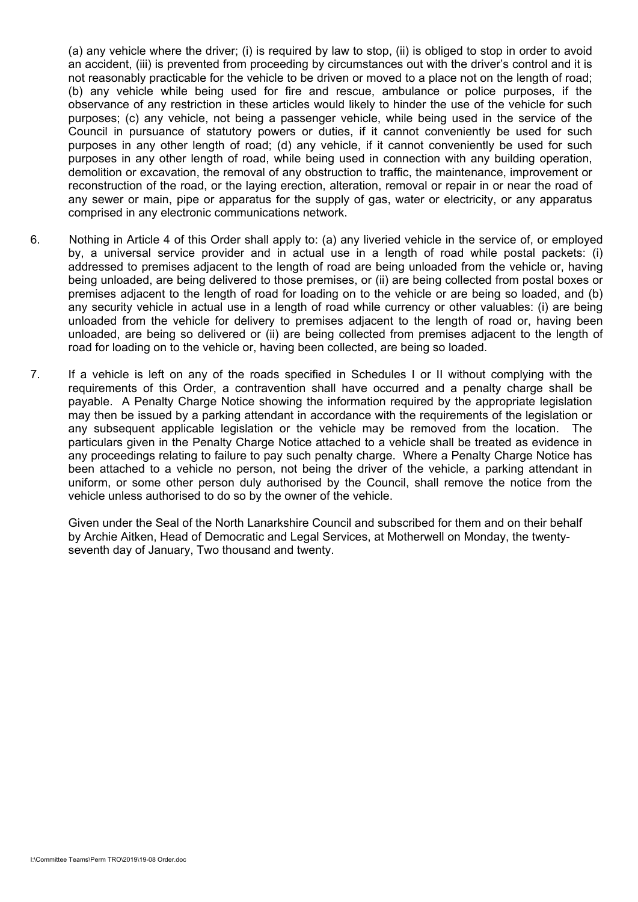(a) any vehicle where the driver; (i) is required by law to stop, (ii) is obliged to stop in order to avoid an accident, (iii) is prevented from proceeding by circumstances out with the driver's control and it is not reasonably practicable for the vehicle to be driven or moved to a place not on the length of road; (b) any vehicle while being used for fire and rescue, ambulance or police purposes, if the observance of any restriction in these articles would likely to hinder the use of the vehicle for such purposes; (c) any vehicle, not being a passenger vehicle, while being used in the service of the Council in pursuance of statutory powers or duties, if it cannot conveniently be used for such purposes in any other length of road; (d) any vehicle, if it cannot conveniently be used for such purposes in any other length of road, while being used in connection with any building operation, demolition or excavation, the removal of any obstruction to traffic, the maintenance, improvement or reconstruction of the road, or the laying erection, alteration, removal or repair in or near the road of any sewer or main, pipe or apparatus for the supply of gas, water or electricity, or any apparatus comprised in any electronic communications network.

- 6. Nothing in Article 4 of this Order shall apply to: (a) any liveried vehicle in the service of, or employed by, a universal service provider and in actual use in a length of road while postal packets: (i) addressed to premises adjacent to the length of road are being unloaded from the vehicle or, having being unloaded, are being delivered to those premises, or (ii) are being collected from postal boxes or premises adjacent to the length of road for loading on to the vehicle or are being so loaded, and (b) any security vehicle in actual use in a length of road while currency or other valuables: (i) are being unloaded from the vehicle for delivery to premises adjacent to the length of road or, having been unloaded, are being so delivered or (ii) are being collected from premises adjacent to the length of road for loading on to the vehicle or, having been collected, are being so loaded.
- 7. If a vehicle is left on any of the roads specified in Schedules I or II without complying with the requirements of this Order, a contravention shall have occurred and a penalty charge shall be payable. A Penalty Charge Notice showing the information required by the appropriate legislation may then be issued by a parking attendant in accordance with the requirements of the legislation or any subsequent applicable legislation or the vehicle may be removed from the location. The particulars given in the Penalty Charge Notice attached to a vehicle shall be treated as evidence in any proceedings relating to failure to pay such penalty charge. Where a Penalty Charge Notice has been attached to a vehicle no person, not being the driver of the vehicle, a parking attendant in uniform, or some other person duly authorised by the Council, shall remove the notice from the vehicle unless authorised to do so by the owner of the vehicle.

 Given under the Seal of the North Lanarkshire Council and subscribed for them and on their behalf by Archie Aitken, Head of Democratic and Legal Services, at Motherwell on Monday, the twentyseventh day of January, Two thousand and twenty.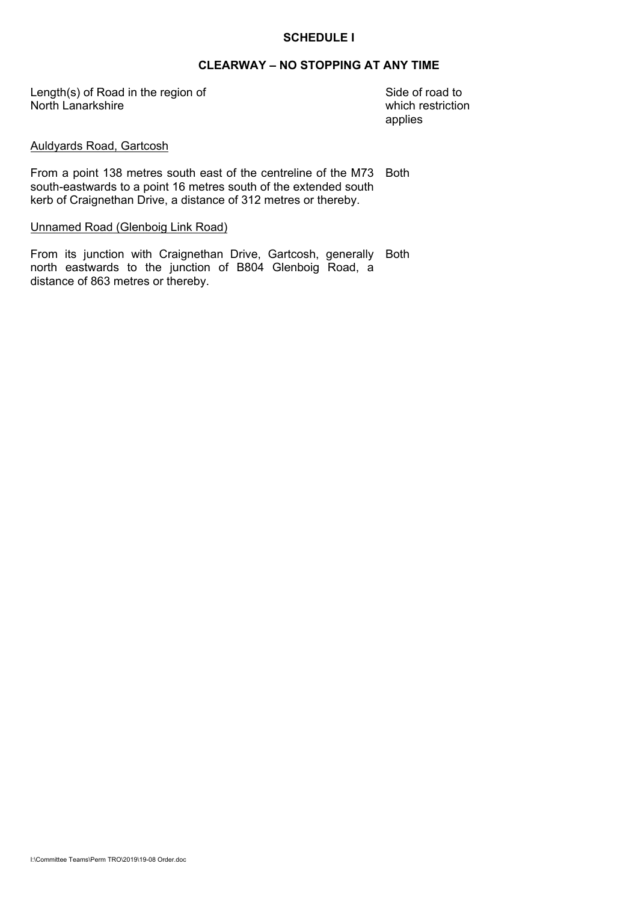#### **SCHEDULE I**

# **CLEARWAY – NO STOPPING AT ANY TIME**

Length(s) of Road in the region of North Lanarkshire

Side of road to which restriction applies

#### Auldyards Road, Gartcosh

From a point 138 metres south east of the centreline of the M73 Both south-eastwards to a point 16 metres south of the extended south kerb of Craignethan Drive, a distance of 312 metres or thereby.

#### Unnamed Road (Glenboig Link Road)

From its junction with Craignethan Drive, Gartcosh, generally Both north eastwards to the junction of B804 Glenboig Road, a distance of 863 metres or thereby.